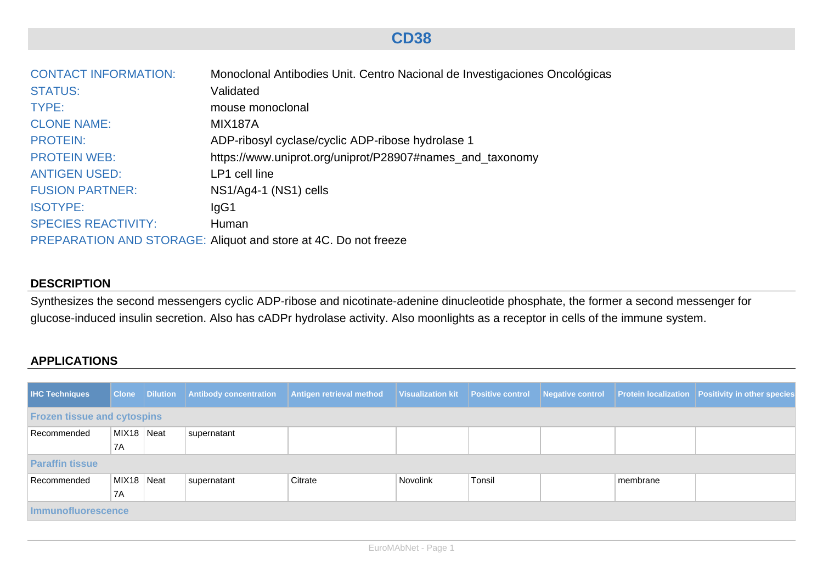## **CD38**

| <b>CONTACT INFORMATION:</b> | Monoclonal Antibodies Unit. Centro Nacional de Investigaciones Oncológicas |
|-----------------------------|----------------------------------------------------------------------------|
| <b>STATUS:</b>              | Validated                                                                  |
| TYPE:                       | mouse monoclonal                                                           |
| <b>CLONE NAME:</b>          | <b>MIX187A</b>                                                             |
| <b>PROTEIN:</b>             | ADP-ribosyl cyclase/cyclic ADP-ribose hydrolase 1                          |
| <b>PROTEIN WEB:</b>         | https://www.uniprot.org/uniprot/P28907#names_and_taxonomy                  |
| <b>ANTIGEN USED:</b>        | LP1 cell line                                                              |
| <b>FUSION PARTNER:</b>      | NS1/Ag4-1 (NS1) cells                                                      |
| <b>ISOTYPE:</b>             | IqG1                                                                       |
| <b>SPECIES REACTIVITY:</b>  | Human                                                                      |
|                             | PREPARATION AND STORAGE: Aliquot and store at 4C. Do not freeze            |

## **DESCRIPTION**

Synthesizes the second messengers cyclic ADP-ribose and nicotinate-adenine dinucleotide phosphate, the former a second messenger for glucose-induced insulin secretion. Also has cADPr hydrolase activity. Also moonlights as a receptor in cells of the immune system.

## **APPLICATIONS**

| <b>IHC Techniques</b>              |            | <b>Clone Dilution</b> | <b>Antibody concentration</b> | Antigen retrieval method |          |        |  |          | Visualization kit   Positive control   Negative control   Protein localization   Positivity in other species |  |
|------------------------------------|------------|-----------------------|-------------------------------|--------------------------|----------|--------|--|----------|--------------------------------------------------------------------------------------------------------------|--|
| <b>Frozen tissue and cytospins</b> |            |                       |                               |                          |          |        |  |          |                                                                                                              |  |
| Recommended                        | MIX18 Neat |                       | supernatant                   |                          |          |        |  |          |                                                                                                              |  |
|                                    | 7A         |                       |                               |                          |          |        |  |          |                                                                                                              |  |
| <b>Paraffin tissue</b>             |            |                       |                               |                          |          |        |  |          |                                                                                                              |  |
| Recommended                        | MIX18 Neat |                       | supernatant                   | Citrate                  | Novolink | Tonsil |  | membrane |                                                                                                              |  |
|                                    | 7A         |                       |                               |                          |          |        |  |          |                                                                                                              |  |
| <b>Immunofluorescence</b>          |            |                       |                               |                          |          |        |  |          |                                                                                                              |  |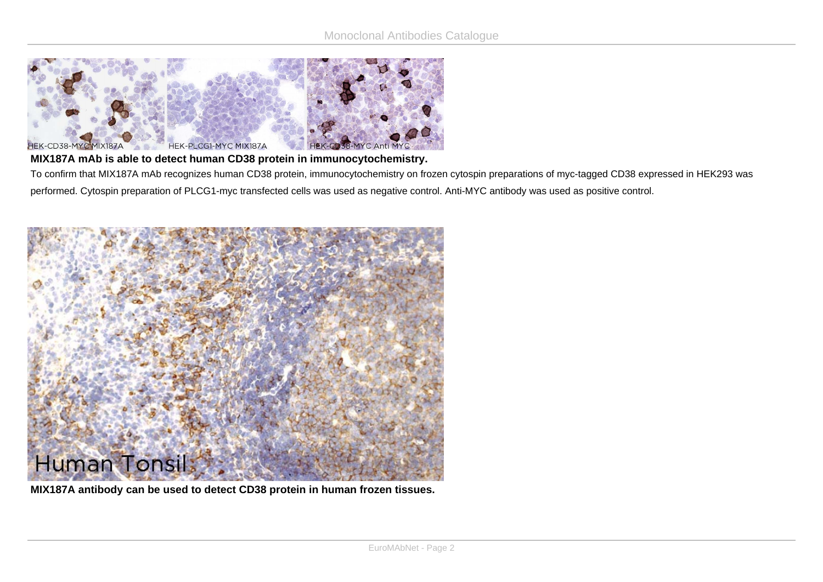

## **MIX187A mAb is able to detect human CD38 protein in immunocytochemistry.**

To confirm that MIX187A mAb recognizes human CD38 protein, immunocytochemistry on frozen cytospin preparations of myc-tagged CD38 expressed in HEK293 was performed. Cytospin preparation of PLCG1-myc transfected cells was used as negative control. Anti-MYC antibody was used as positive control.



**MIX187A antibody can be used to detect CD38 protein in human frozen tissues.**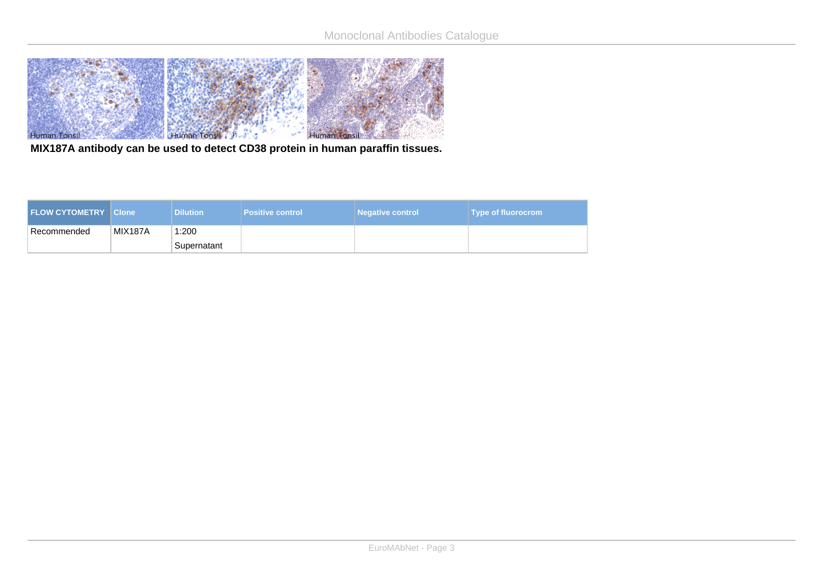

**MIX187A antibody can be used to detect CD38 protein in human paraffin tissues.**

| <b>FLOW CYTOMETRY Clone</b> |                | <b>Dilution</b> | <b>Positive control</b> | <b>Negative control</b> | Type of fluorocrom |
|-----------------------------|----------------|-----------------|-------------------------|-------------------------|--------------------|
| Recommended                 | <b>MIX187A</b> | 1:200           |                         |                         |                    |
|                             |                | Supernatant     |                         |                         |                    |